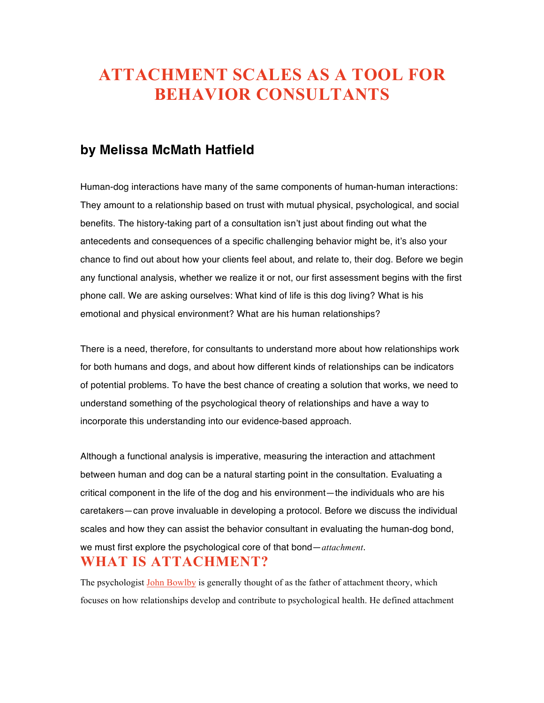# **ATTACHMENT SCALES AS A TOOL FOR BEHAVIOR CONSULTANTS**

#### **by Melissa McMath Hatfield**

Human-dog interactions have many of the same components of human-human interactions: They amount to a relationship based on trust with mutual physical, psychological, and social benefits. The history-taking part of a consultation isn't just about finding out what the antecedents and consequences of a specific challenging behavior might be, it's also your chance to find out about how your clients feel about, and relate to, their dog. Before we begin any functional analysis, whether we realize it or not, our first assessment begins with the first phone call. We are asking ourselves: What kind of life is this dog living? What is his emotional and physical environment? What are his human relationships?

There is a need, therefore, for consultants to understand more about how relationships work for both humans and dogs, and about how different kinds of relationships can be indicators of potential problems. To have the best chance of creating a solution that works, we need to understand something of the psychological theory of relationships and have a way to incorporate this understanding into our evidence-based approach.

Although a functional analysis is imperative, measuring the interaction and attachment between human and dog can be a natural starting point in the consultation. Evaluating a critical component in the life of the dog and his environment—the individuals who are his caretakers—can prove invaluable in developing a protocol. Before we discuss the individual scales and how they can assist the behavior consultant in evaluating the human-dog bond, we must first explore the psychological core of that bond—*attachment*. **WHAT IS ATTACHMENT?**

The psychologist John Bowlby is generally thought of as the father of attachment theory, which focuses on how relationships develop and contribute to psychological health. He defined attachment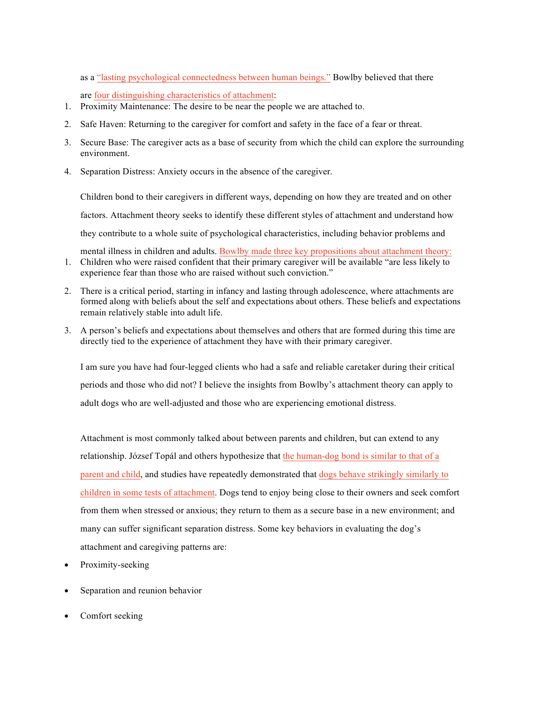as a "lasting psychological connectedness between human beings." Bowlby believed that there

are four distinguishing characteristics of attachment:

- 1. Proximity Maintenance: The desire to be near the people we are attached to.
- 2. Safe Haven: Returning to the caregiver for comfort and safety in the face of a fear or threat.
- 3. Secure Base: The caregiver acts as a base of security from which the child can explore the surrounding environment.
- 4. Separation Distress: Anxiety occurs in the absence of the caregiver.

Children bond to their caregivers in different ways, depending on how they are treated and on other factors. Attachment theory seeks to identify these different styles of attachment and understand how they contribute to a whole suite of psychological characteristics, including behavior problems and

- mental illness in children and adults. Bowlby made three key propositions about attachment theory: 1. Children who were raised confident that their primary caregiver will be available "are less likely to experience fear than those who are raised without such conviction."
- 2. There is a critical period, starting in infancy and lasting through adolescence, where attachments are formed along with beliefs about the self and expectations about others. These beliefs and expectations remain relatively stable into adult life.
- 3. A person's beliefs and expectations about themselves and others that are formed during this time are directly tied to the experience of attachment they have with their primary caregiver.

I am sure you have had four-legged clients who had a safe and reliable caretaker during their critical periods and those who did not? I believe the insights from Bowlby's attachment theory can apply to adult dogs who are well-adjusted and those who are experiencing emotional distress.

Attachment is most commonly talked about between parents and children, but can extend to any relationship. József Topál and others hypothesize that the human-dog bond is similar to that of a parent and child, and studies have repeatedly demonstrated that dogs behave strikingly similarly to children in some tests of attachment. Dogs tend to enjoy being close to their owners and seek comfort from them when stressed or anxious; they return to them as a secure base in a new environment; and many can suffer significant separation distress. Some key behaviors in evaluating the dog's attachment and caregiving patterns are:

- Proximity-seeking
- Separation and reunion behavior
- Comfort seeking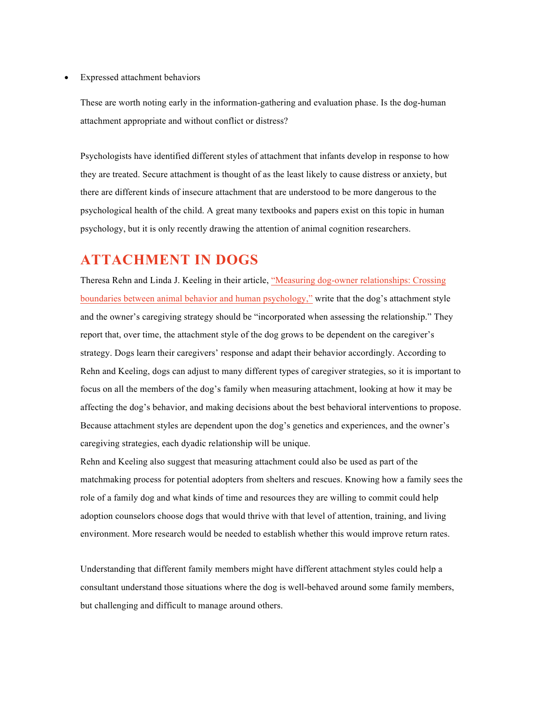Expressed attachment behaviors

These are worth noting early in the information-gathering and evaluation phase. Is the dog-human attachment appropriate and without conflict or distress?

Psychologists have identified different styles of attachment that infants develop in response to how they are treated. Secure attachment is thought of as the least likely to cause distress or anxiety, but there are different kinds of insecure attachment that are understood to be more dangerous to the psychological health of the child. A great many textbooks and papers exist on this topic in human psychology, but it is only recently drawing the attention of animal cognition researchers.

### **ATTACHMENT IN DOGS**

Theresa Rehn and Linda J. Keeling in their article, "Measuring dog-owner relationships: Crossing boundaries between animal behavior and human psychology," write that the dog's attachment style and the owner's caregiving strategy should be "incorporated when assessing the relationship." They report that, over time, the attachment style of the dog grows to be dependent on the caregiver's strategy. Dogs learn their caregivers' response and adapt their behavior accordingly. According to Rehn and Keeling, dogs can adjust to many different types of caregiver strategies, so it is important to focus on all the members of the dog's family when measuring attachment, looking at how it may be affecting the dog's behavior, and making decisions about the best behavioral interventions to propose. Because attachment styles are dependent upon the dog's genetics and experiences, and the owner's caregiving strategies, each dyadic relationship will be unique.

Rehn and Keeling also suggest that measuring attachment could also be used as part of the matchmaking process for potential adopters from shelters and rescues. Knowing how a family sees the role of a family dog and what kinds of time and resources they are willing to commit could help adoption counselors choose dogs that would thrive with that level of attention, training, and living environment. More research would be needed to establish whether this would improve return rates.

Understanding that different family members might have different attachment styles could help a consultant understand those situations where the dog is well-behaved around some family members, but challenging and difficult to manage around others.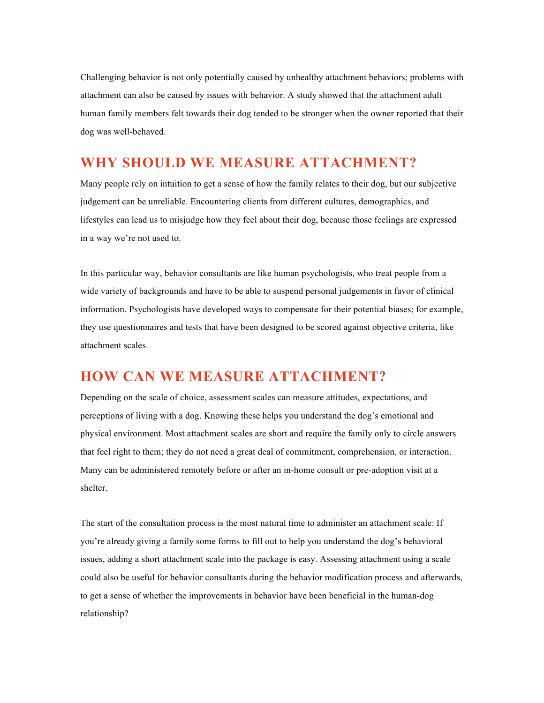Challenging behavior is not only potentially caused by unhealthy attachment behaviors; problems with attachment can also be caused by issues with behavior. A study showed that the attachment adult human family members felt towards their dog tended to be stronger when the owner reported that their dog was well-behaved.

#### **WHY SHOULD WE MEASURE ATTACHMENT?**

Many people rely on intuition to get a sense of how the family relates to their dog, but our subjective judgement can be unreliable. Encountering clients from different cultures, demographics, and lifestyles can lead us to misjudge how they feel about their dog, because those feelings are expressed in a way we're not used to.

In this particular way, behavior consultants are like human psychologists, who treat people from a wide variety of backgrounds and have to be able to suspend personal judgements in favor of clinical information. Psychologists have developed ways to compensate for their potential biases; for example, they use questionnaires and tests that have been designed to be scored against objective criteria, like attachment scales.

## **HOW CAN WE MEASURE ATTACHMENT?**

Depending on the scale of choice, assessment scales can measure attitudes, expectations, and perceptions of living with a dog. Knowing these helps you understand the dog's emotional and physical environment. Most attachment scales are short and require the family only to circle answers that feel right to them; they do not need a great deal of commitment, comprehension, or interaction. Many can be administered remotely before or after an in-home consult or pre-adoption visit at a shelter.

The start of the consultation process is the most natural time to administer an attachment scale: If you're already giving a family some forms to fill out to help you understand the dog's behavioral issues, adding a short attachment scale into the package is easy. Assessing attachment using a scale could also be useful for behavior consultants during the behavior modification process and afterwards, to get a sense of whether the improvements in behavior have been beneficial in the human-dog relationship?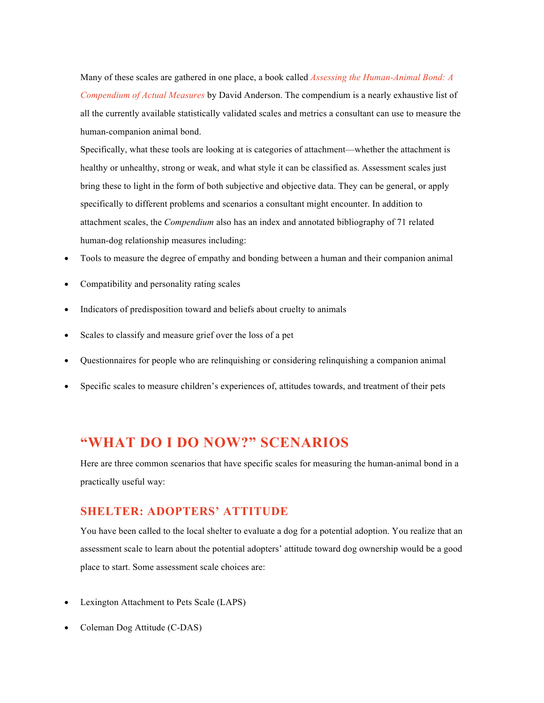Many of these scales are gathered in one place, a book called *Assessing the Human-Animal Bond: A Compendium of Actual Measures* by David Anderson. The compendium is a nearly exhaustive list of all the currently available statistically validated scales and metrics a consultant can use to measure the human-companion animal bond.

Specifically, what these tools are looking at is categories of attachment—whether the attachment is healthy or unhealthy, strong or weak, and what style it can be classified as. Assessment scales just bring these to light in the form of both subjective and objective data. They can be general, or apply specifically to different problems and scenarios a consultant might encounter. In addition to attachment scales, the *Compendium* also has an index and annotated bibliography of 71 related human-dog relationship measures including:

- Tools to measure the degree of empathy and bonding between a human and their companion animal
- Compatibility and personality rating scales
- Indicators of predisposition toward and beliefs about cruelty to animals
- Scales to classify and measure grief over the loss of a pet
- Questionnaires for people who are relinquishing or considering relinquishing a companion animal
- Specific scales to measure children's experiences of, attitudes towards, and treatment of their pets

### **"WHAT DO I DO NOW?" SCENARIOS**

Here are three common scenarios that have specific scales for measuring the human-animal bond in a practically useful way:

#### **SHELTER: ADOPTERS' ATTITUDE**

You have been called to the local shelter to evaluate a dog for a potential adoption. You realize that an assessment scale to learn about the potential adopters' attitude toward dog ownership would be a good place to start. Some assessment scale choices are:

- Lexington Attachment to Pets Scale (LAPS)
- Coleman Dog Attitude (C-DAS)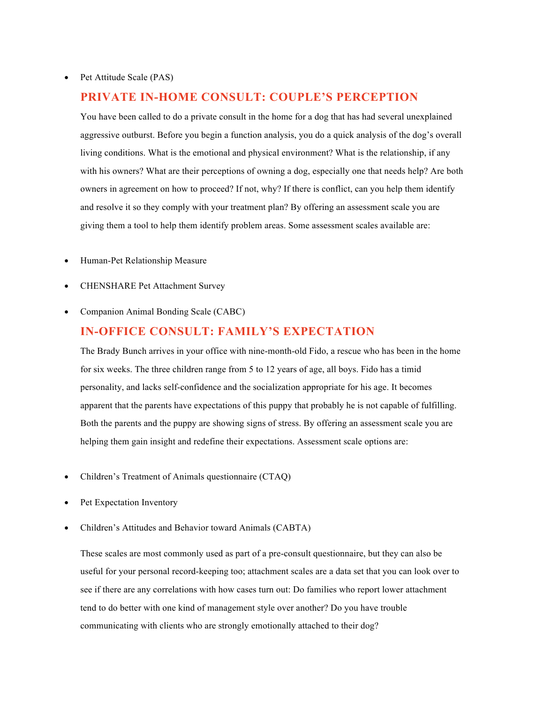#### **PRIVATE IN-HOME CONSULT: COUPLE'S PERCEPTION**

You have been called to do a private consult in the home for a dog that has had several unexplained aggressive outburst. Before you begin a function analysis, you do a quick analysis of the dog's overall living conditions. What is the emotional and physical environment? What is the relationship, if any with his owners? What are their perceptions of owning a dog, especially one that needs help? Are both owners in agreement on how to proceed? If not, why? If there is conflict, can you help them identify and resolve it so they comply with your treatment plan? By offering an assessment scale you are giving them a tool to help them identify problem areas. Some assessment scales available are:

- Human-Pet Relationship Measure
- CHENSHARE Pet Attachment Survey
- Companion Animal Bonding Scale (CABC)

#### **IN-OFFICE CONSULT: FAMILY'S EXPECTATION**

The Brady Bunch arrives in your office with nine-month-old Fido, a rescue who has been in the home for six weeks. The three children range from 5 to 12 years of age, all boys. Fido has a timid personality, and lacks self-confidence and the socialization appropriate for his age. It becomes apparent that the parents have expectations of this puppy that probably he is not capable of fulfilling. Both the parents and the puppy are showing signs of stress. By offering an assessment scale you are helping them gain insight and redefine their expectations. Assessment scale options are:

- Children's Treatment of Animals questionnaire (CTAQ)
- Pet Expectation Inventory
- Children's Attitudes and Behavior toward Animals (CABTA)

These scales are most commonly used as part of a pre-consult questionnaire, but they can also be useful for your personal record-keeping too; attachment scales are a data set that you can look over to see if there are any correlations with how cases turn out: Do families who report lower attachment tend to do better with one kind of management style over another? Do you have trouble communicating with clients who are strongly emotionally attached to their dog?